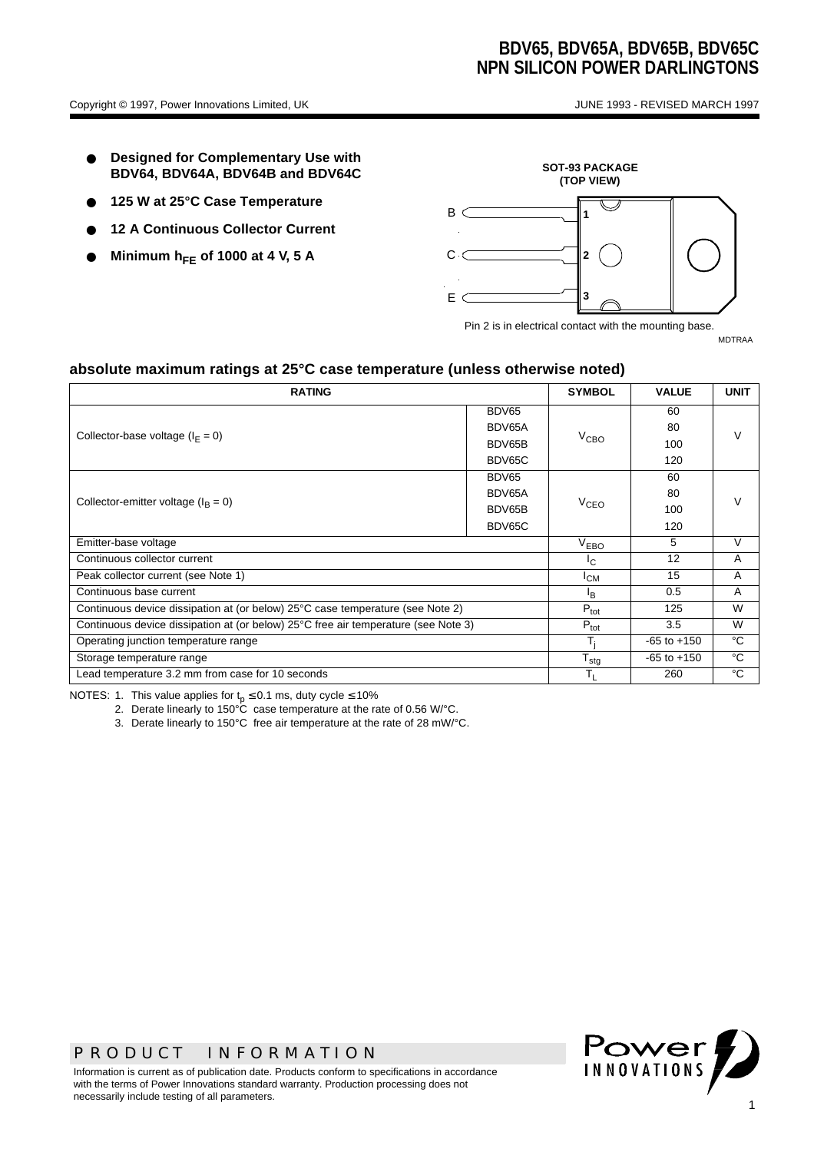- **Designed for Complementary Use with BDV64, BDV64A, BDV64B and BDV64C**
- 125 W at 25°C Case Temperature
- **12 A Continuous Collector Current**
- **Minimum hFE of 1000 at 4 V, 5 A**



Pin 2 is in electrical contact with the mounting base.

MDTRAA

#### **absolute maximum ratings at 25°C case temperature (unless otherwise noted)**

| <b>RATING</b>                                                                      |        | <b>SYMBOL</b> | <b>VALUE</b>    | <b>UNIT</b>    |  |
|------------------------------------------------------------------------------------|--------|---------------|-----------------|----------------|--|
|                                                                                    | BDV65  |               | 60              |                |  |
| Collector-base voltage $(IE = 0)$                                                  | BDV65A |               | 80              |                |  |
|                                                                                    | BDV65B | $V_{CBO}$     | 100             |                |  |
|                                                                                    | BDV65C |               | 120             |                |  |
| Collector-emitter voltage ( $I_B = 0$ )                                            | BDV65  |               | 60              |                |  |
|                                                                                    | BDV65A |               | 80              |                |  |
|                                                                                    | BDV65B | $V_{CEO}$     | 100             |                |  |
|                                                                                    | BDV65C |               | 120             |                |  |
| Emitter-base voltage                                                               |        |               | 5               | V              |  |
| Continuous collector current                                                       |        |               | 12              | $\overline{A}$ |  |
| Peak collector current (see Note 1)                                                |        |               | 15              | $\overline{A}$ |  |
| Continuous base current                                                            |        |               | 0.5             | A              |  |
| Continuous device dissipation at (or below) 25°C case temperature (see Note 2)     |        |               | 125             | W              |  |
| Continuous device dissipation at (or below) 25°C free air temperature (see Note 3) |        |               | 3.5             | W              |  |
| Operating junction temperature range                                               |        |               | $-65$ to $+150$ | °C             |  |
| Storage temperature range                                                          |        |               | $-65$ to $+150$ | °C             |  |
| Lead temperature 3.2 mm from case for 10 seconds                                   |        |               | 260             | °C             |  |

NOTES: 1. This value applies for  $t_p \le 0.1$  ms, duty cycle  $\le 10\%$ 

- 2. Derate linearly to  $150^{\circ}$ C case temperature at the rate of 0.56 W/ $^{\circ}$ C.
- 3. Derate linearly to 150°C free air temperature at the rate of 28 mW/°C.

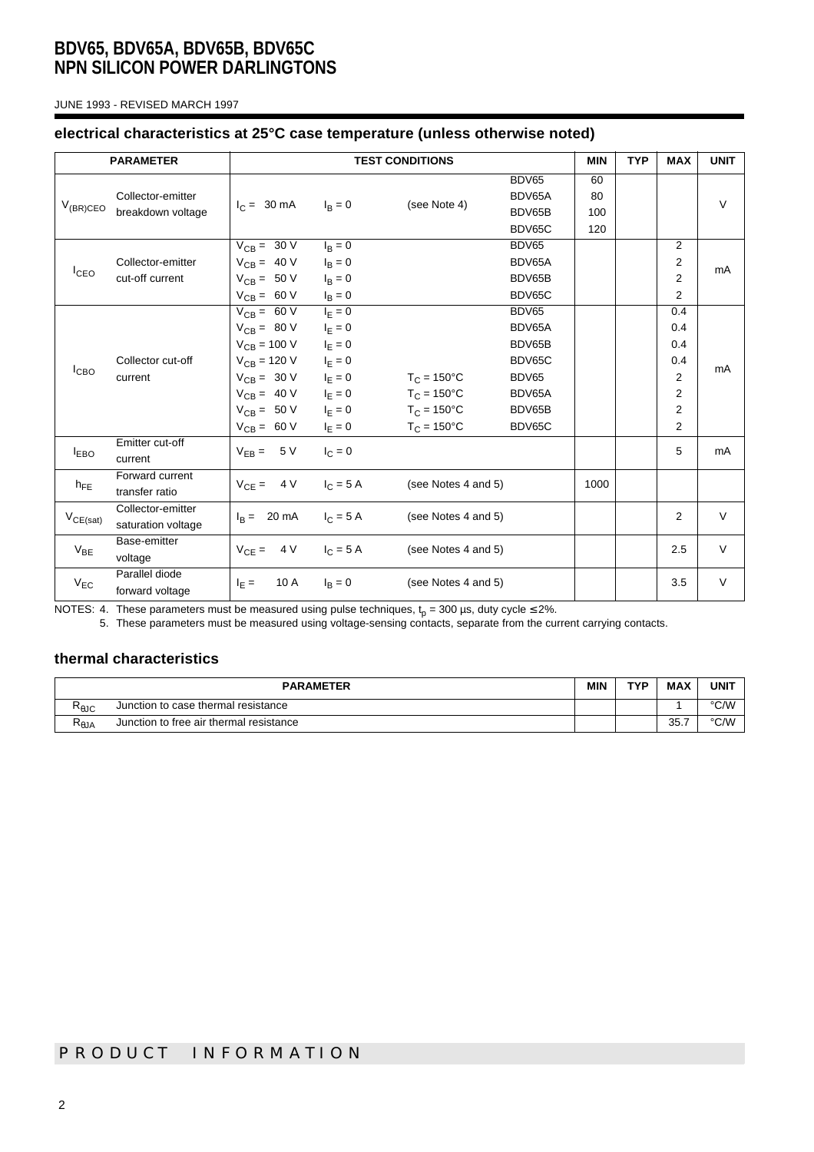JUNE 1993 - REVISED MARCH 1997

#### **electrical characteristics at 25°C case temperature (unless otherwise noted)**

| <b>TEST CONDITIONS</b><br><b>PARAMETER</b> |                                         |                            | <b>MIN</b>      | <b>TYP</b>             | <b>MAX</b>      | <b>UNIT</b> |  |                |        |
|--------------------------------------------|-----------------------------------------|----------------------------|-----------------|------------------------|-----------------|-------------|--|----------------|--------|
| $V_{(BR)CEO}$                              | Collector-emitter<br>breakdown voltage  | $I_C = 30 \text{ mA}$      | $I_{\rm B} = 0$ | (see Note 4)           | BDV65<br>BDV65A | 60<br>80    |  |                |        |
|                                            |                                         |                            |                 |                        | BDV65B          | 100         |  |                | $\vee$ |
|                                            |                                         |                            |                 |                        | BDV65C          | 120         |  |                |        |
| $I_{CEO}$                                  | Collector-emitter<br>cut-off current    | $V_{CB} = 30 V$            | $I_B = 0$       |                        | BDV65           |             |  | 2              |        |
|                                            |                                         | $V_{CB} = 40 V$            | $I_B = 0$       |                        | BDV65A          |             |  | $\overline{2}$ | mA     |
|                                            |                                         | $V_{CB} = 50 V$            | $I_B = 0$       |                        | BDV65B          |             |  | $\overline{2}$ |        |
|                                            |                                         | $V_{CB} = 60 V$            | $I_B = 0$       |                        | BDV65C          |             |  | $\overline{2}$ |        |
| I <sub>CBO</sub>                           | Collector cut-off<br>current            | $V_{CB} = 60 V$            | $I_E = 0$       |                        | BDV65           |             |  | 0.4            |        |
|                                            |                                         | $V_{CB} = 80 V$            | $I_E = 0$       |                        | BDV65A          |             |  | 0.4            |        |
|                                            |                                         | $V_{CB} = 100 V$           | $I_E = 0$       |                        | BDV65B          |             |  | 0.4            | mA     |
|                                            |                                         | $V_{CB} = 120 V$           | $I_{E} = 0$     |                        | BDV65C          |             |  | 0.4            |        |
|                                            |                                         | $V_{CB} = 30 V$            | $I_F = 0$       | $T_C = 150^{\circ}C$   | BDV65           |             |  | $\overline{2}$ |        |
|                                            |                                         | $V_{CB} = 40 V$            | $I_E = 0$       | $T_C = 150^{\circ}C$   | BDV65A          |             |  | $\overline{2}$ |        |
|                                            |                                         | $V_{CB} = 50 V$            | $I_F = 0$       | $T_{C}$ = 150°C        | BDV65B          |             |  | $\overline{2}$ |        |
|                                            |                                         | $V_{CB} = 60 V$            | $I_{E} = 0$     | $T_{C} = 150^{\circ}C$ | BDV65C          |             |  | $\overline{2}$ |        |
| <b>IEBO</b>                                | Emitter cut-off<br>current              | $V_{FB} = 5 V$             | $I_{C} = 0$     |                        |                 |             |  | 5              | mA     |
| $h_{FE}$                                   | Forward current<br>transfer ratio       | $V_{CE} = 4 V$             | $I_C = 5 A$     | (see Notes 4 and 5)    |                 | 1000        |  |                |        |
| $V_{CE(sat)}$                              | Collector-emitter<br>saturation voltage | $I_R = 20 \text{ mA}$      | $I_C = 5 A$     | (see Notes 4 and 5)    |                 |             |  | $\overline{2}$ | $\vee$ |
| $V_{BF}$                                   | Base-emitter<br>voltage                 | $V_{CF} = 4 V$ $I_C = 5 A$ |                 | (see Notes 4 and 5)    |                 |             |  | 2.5            | $\vee$ |
| $V_{EC}$                                   | Parallel diode<br>forward voltage       | 10 A<br>$I_F =$            | $I_R = 0$       | (see Notes 4 and 5)    |                 |             |  | 3.5            | V      |

NOTES: 4. These parameters must be measured using pulse techniques,  ${\rm t_p}$  = 300 µs, duty cycle ≤ 2%.

5. These parameters must be measured using voltage-sensing contacts, separate from the current carrying contacts.

### **thermal characteristics**

| <b>PARAMETER</b>          |                                         | <b>MIN</b> | TVD | <b>MAX</b>   | <b>UNIT</b> |
|---------------------------|-----------------------------------------|------------|-----|--------------|-------------|
| Ւ⊕JC                      | Junction to case thermal resistance     |            |     |              | °C/W        |
| $\mathsf{R}_\mathsf{0JA}$ | Junction to free air thermal resistance |            |     | 25 7<br>JJ.1 | °C/W        |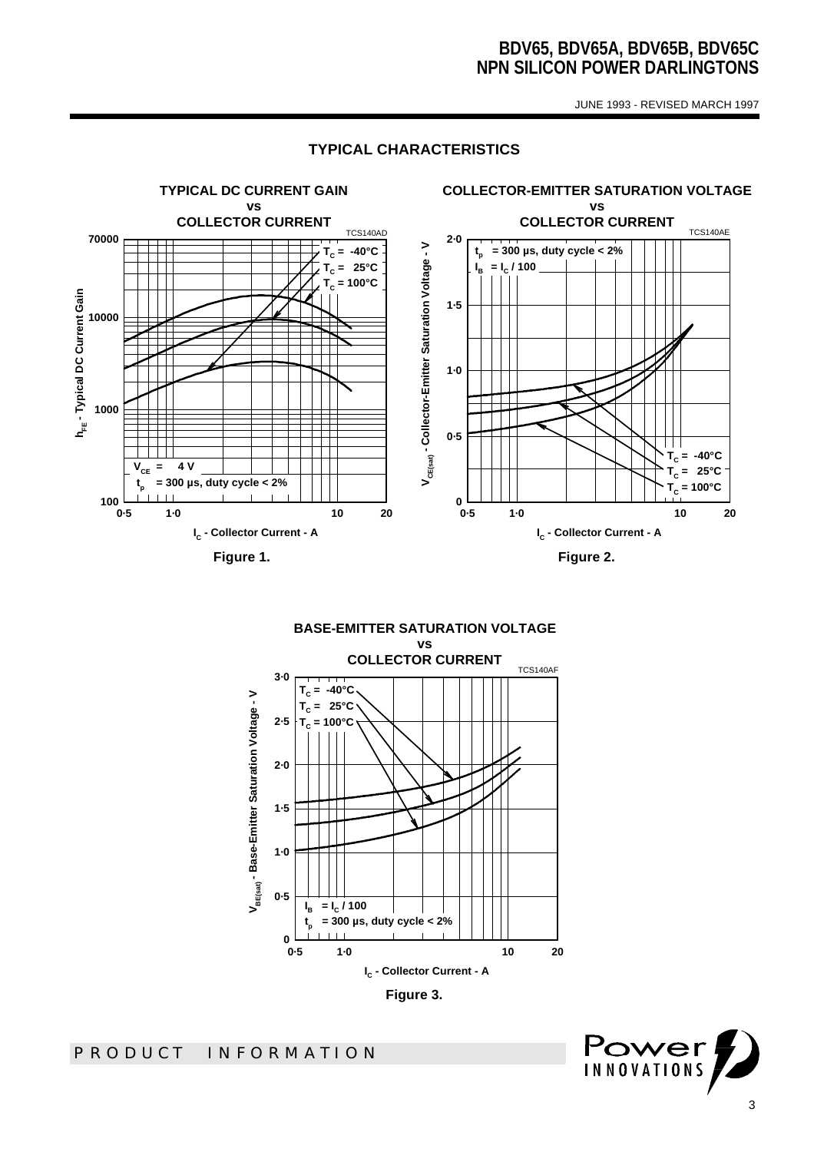JUNE 1993 - REVISED MARCH 1997



#### **TYPICAL CHARACTERISTICS**

**BASE-EMITTER SATURATION VOLTAGE vs COLLECTOR CURRENT** TCS140AF **3·0 = -40°C**  $\mathbf{T}_c$ V<sub>BE(sat)</sub> - Base-Emitter Saturation Voltage - V **VBE(sat) - Base-Emitter Saturation Voltage - V TC = 25°C 2·5 = 100°C TC 2·0** TI **1·5 1·0 0·5**  $\mathbf{l}_{\mathbf{B}}$  **= I<sup>C</sup> / 100 = 300 µs, duty cycle < 2% tp**  $1 - 1 - 1$ 0<br>0.5 **0·5 1·0 10 20 IC - Collector Current - A**



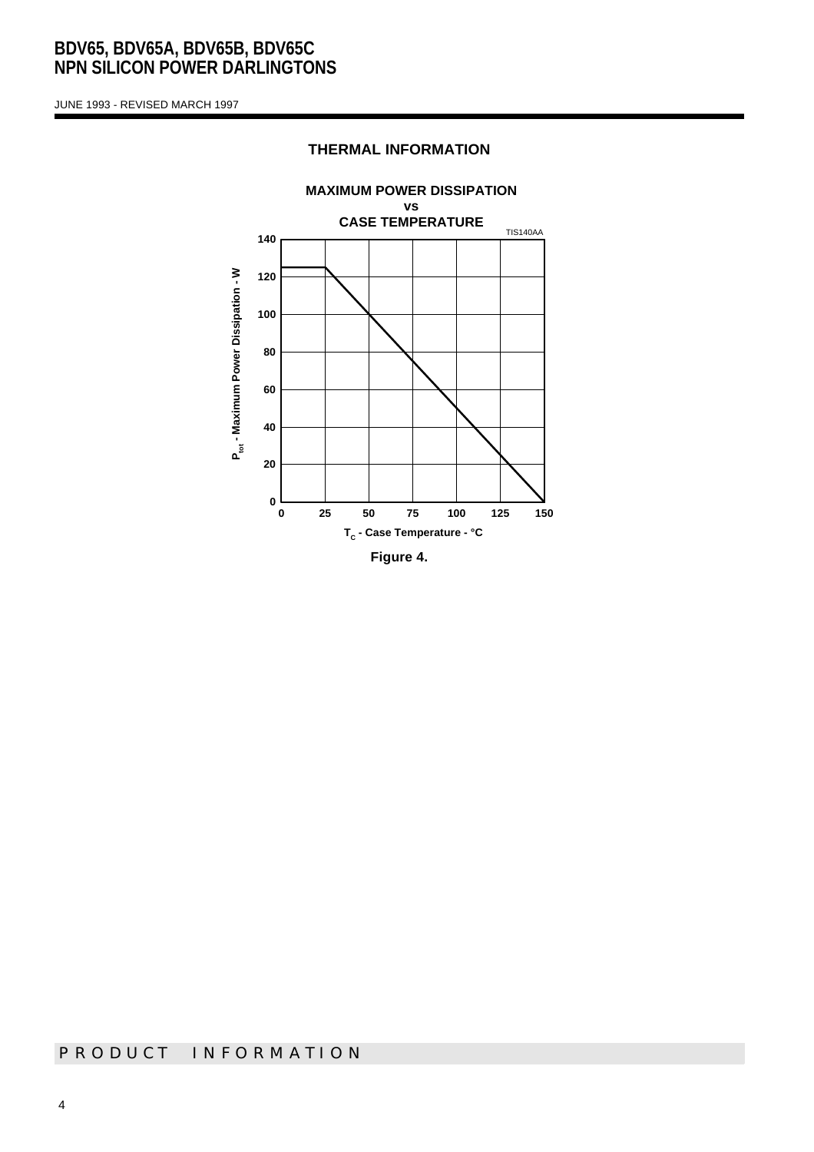JUNE 1993 - REVISED MARCH 1997

# **MAXIMUM POWER DISSIPATION vs CASE TEMPERATURE** TIS140AA**140** P<sub>tot</sub> - Maximum Power Dissipation - W **Ptot - Maximum Power Dissipation - W 120 100 80 60 40 20 0 0 25 50 75 100 125 150 TC - Case Temperature - °C Figure 4.**

#### **THERMAL INFORMATION**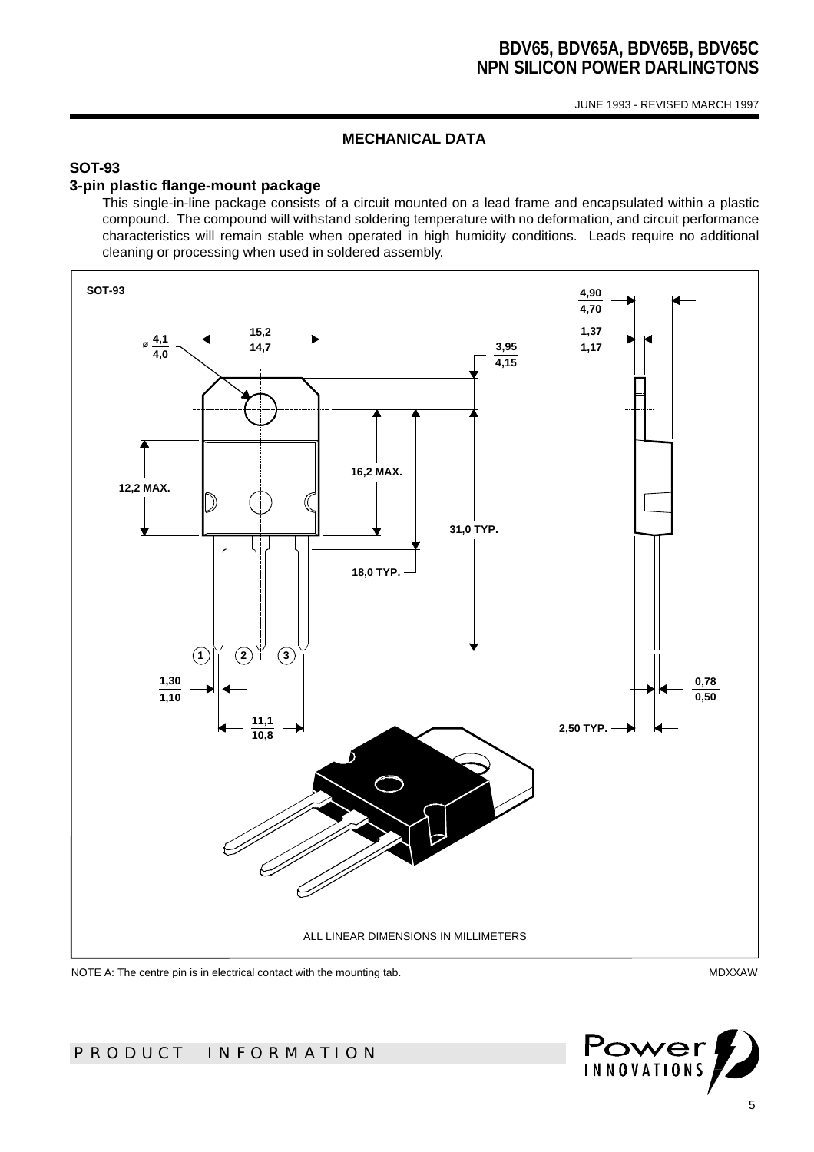JUNE 1993 - REVISED MARCH 1997

#### **MECHANICAL DATA**

## **SOT-93**

#### **3-pin plastic flange-mount package**

This single-in-line package consists of a circuit mounted on a lead frame and encapsulated within a plastic compound. The compound will withstand soldering temperature with no deformation, and circuit performance characteristics will remain stable when operated in high humidity conditions. Leads require no additional cleaning or processing when used in soldered assembly.